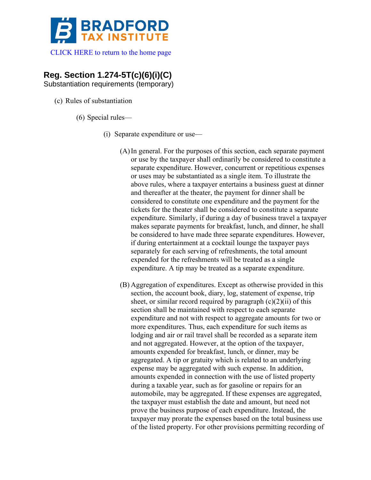

[CLICK HERE to return to the home page](https://bradfordtaxinstitute.com) 

## **Reg. Section 1.274-5T(c)(6)(i)(C)**

Substantiation requirements (temporary)

- (c) Rules of substantiation
	- (6) Special rules—
		- (i) Separate expenditure or use—
			- (A)In general. For the purposes of this section, each separate payment or use by the taxpayer shall ordinarily be considered to constitute a separate expenditure. However, concurrent or repetitious expenses or uses may be substantiated as a single item. To illustrate the above rules, where a taxpayer entertains a business guest at dinner and thereafter at the theater, the payment for dinner shall be considered to constitute one expenditure and the payment for the tickets for the theater shall be considered to constitute a separate expenditure. Similarly, if during a day of business travel a taxpayer makes separate payments for breakfast, lunch, and dinner, he shall be considered to have made three separate expenditures. However, if during entertainment at a cocktail lounge the taxpayer pays separately for each serving of refreshments, the total amount expended for the refreshments will be treated as a single expenditure. A tip may be treated as a separate expenditure.
			- (B) Aggregation of expenditures. Except as otherwise provided in this section, the account book, diary, log, statement of expense, trip sheet, or similar record required by paragraph  $(c)(2)(ii)$  of this section shall be maintained with respect to each separate expenditure and not with respect to aggregate amounts for two or more expenditures. Thus, each expenditure for such items as lodging and air or rail travel shall be recorded as a separate item and not aggregated. However, at the option of the taxpayer, amounts expended for breakfast, lunch, or dinner, may be aggregated. A tip or gratuity which is related to an underlying expense may be aggregated with such expense. In addition, amounts expended in connection with the use of listed property during a taxable year, such as for gasoline or repairs for an automobile, may be aggregated. If these expenses are aggregated, the taxpayer must establish the date and amount, but need not prove the business purpose of each expenditure. Instead, the taxpayer may prorate the expenses based on the total business use of the listed property. For other provisions permitting recording of